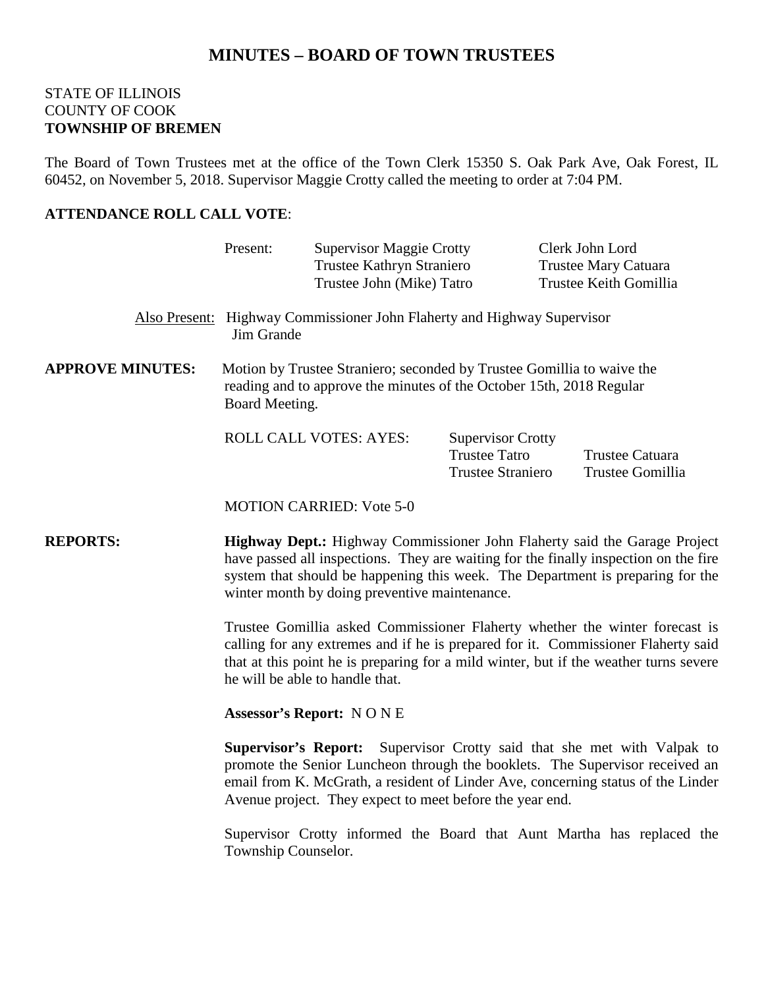# **MINUTES – BOARD OF TOWN TRUSTEES**

### STATE OF ILLINOIS COUNTY OF COOK **TOWNSHIP OF BREMEN**

The Board of Town Trustees met at the office of the Town Clerk 15350 S. Oak Park Ave, Oak Forest, IL 60452, on November 5, 2018. Supervisor Maggie Crotty called the meeting to order at 7:04 PM.

## **ATTENDANCE ROLL CALL VOTE**:

|                         | Present:                                                                                                                                                                                                                                                                                                                                                                                                                                                                                                                                                                                                                                                                                                                                                                                                                                                                                                                                                    | <b>Supervisor Maggie Crotty</b><br>Trustee Kathryn Straniero<br>Trustee John (Mike) Tatro |                                                                              |  | Clerk John Lord<br><b>Trustee Mary Catuara</b><br>Trustee Keith Gomillia |  |
|-------------------------|-------------------------------------------------------------------------------------------------------------------------------------------------------------------------------------------------------------------------------------------------------------------------------------------------------------------------------------------------------------------------------------------------------------------------------------------------------------------------------------------------------------------------------------------------------------------------------------------------------------------------------------------------------------------------------------------------------------------------------------------------------------------------------------------------------------------------------------------------------------------------------------------------------------------------------------------------------------|-------------------------------------------------------------------------------------------|------------------------------------------------------------------------------|--|--------------------------------------------------------------------------|--|
|                         | Also Present: Highway Commissioner John Flaherty and Highway Supervisor<br>Jim Grande                                                                                                                                                                                                                                                                                                                                                                                                                                                                                                                                                                                                                                                                                                                                                                                                                                                                       |                                                                                           |                                                                              |  |                                                                          |  |
| <b>APPROVE MINUTES:</b> | Motion by Trustee Straniero; seconded by Trustee Gomillia to waive the<br>reading and to approve the minutes of the October 15th, 2018 Regular<br>Board Meeting.                                                                                                                                                                                                                                                                                                                                                                                                                                                                                                                                                                                                                                                                                                                                                                                            |                                                                                           |                                                                              |  |                                                                          |  |
|                         |                                                                                                                                                                                                                                                                                                                                                                                                                                                                                                                                                                                                                                                                                                                                                                                                                                                                                                                                                             | <b>ROLL CALL VOTES: AYES:</b>                                                             | <b>Supervisor Crotty</b><br><b>Trustee Tatro</b><br><b>Trustee Straniero</b> |  | <b>Trustee Catuara</b><br>Trustee Gomillia                               |  |
|                         | <b>MOTION CARRIED: Vote 5-0</b>                                                                                                                                                                                                                                                                                                                                                                                                                                                                                                                                                                                                                                                                                                                                                                                                                                                                                                                             |                                                                                           |                                                                              |  |                                                                          |  |
| <b>REPORTS:</b>         | Highway Dept.: Highway Commissioner John Flaherty said the Garage Project<br>have passed all inspections. They are waiting for the finally inspection on the fire<br>system that should be happening this week. The Department is preparing for the<br>winter month by doing preventive maintenance.<br>Trustee Gomillia asked Commissioner Flaherty whether the winter forecast is<br>calling for any extremes and if he is prepared for it. Commissioner Flaherty said<br>that at this point he is preparing for a mild winter, but if the weather turns severe<br>he will be able to handle that.<br><b>Assessor's Report: NONE</b><br><b>Supervisor's Report:</b><br>Supervisor Crotty said that she met with Valpak to<br>promote the Senior Luncheon through the booklets. The Supervisor received an<br>email from K. McGrath, a resident of Linder Ave, concerning status of the Linder<br>Avenue project. They expect to meet before the year end. |                                                                                           |                                                                              |  |                                                                          |  |
|                         |                                                                                                                                                                                                                                                                                                                                                                                                                                                                                                                                                                                                                                                                                                                                                                                                                                                                                                                                                             |                                                                                           |                                                                              |  |                                                                          |  |
|                         |                                                                                                                                                                                                                                                                                                                                                                                                                                                                                                                                                                                                                                                                                                                                                                                                                                                                                                                                                             |                                                                                           |                                                                              |  |                                                                          |  |
|                         |                                                                                                                                                                                                                                                                                                                                                                                                                                                                                                                                                                                                                                                                                                                                                                                                                                                                                                                                                             |                                                                                           |                                                                              |  |                                                                          |  |
|                         | Township Counselor.                                                                                                                                                                                                                                                                                                                                                                                                                                                                                                                                                                                                                                                                                                                                                                                                                                                                                                                                         |                                                                                           |                                                                              |  | Supervisor Crotty informed the Board that Aunt Martha has replaced the   |  |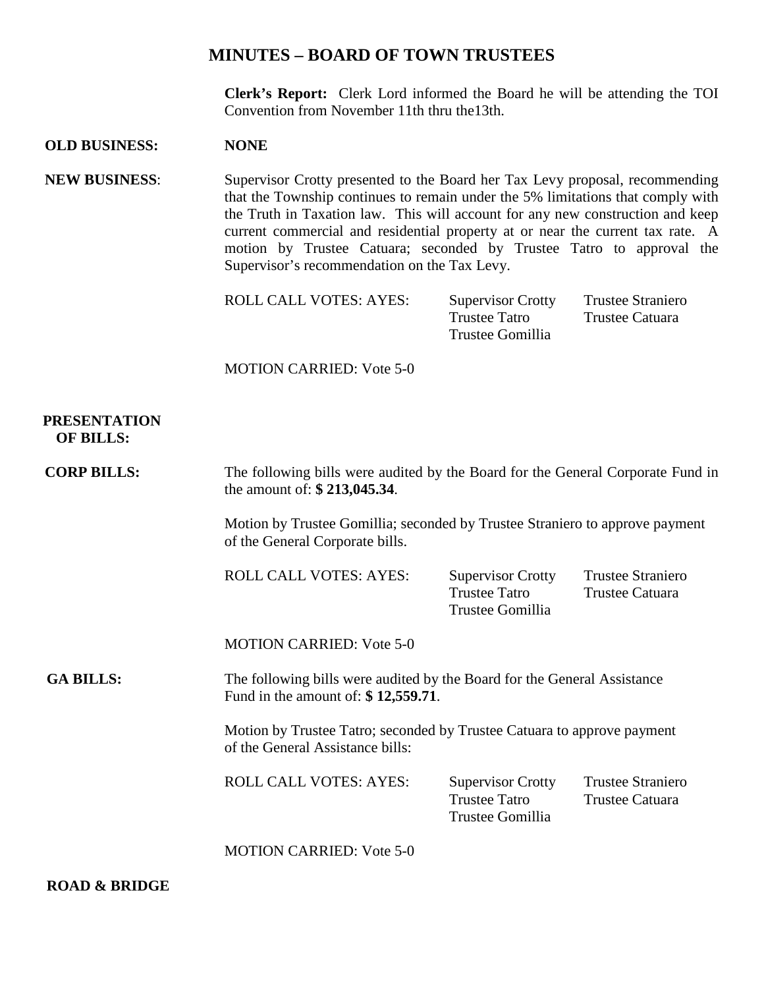## **MINUTES – BOARD OF TOWN TRUSTEES**

**Clerk's Report:** Clerk Lord informed the Board he will be attending the TOI Convention from November 11th thru the13th.

#### **OLD BUSINESS: NONE**

**NEW BUSINESS**: Supervisor Crotty presented to the Board her Tax Levy proposal, recommending that the Township continues to remain under the 5% limitations that comply with the Truth in Taxation law. This will account for any new construction and keep current commercial and residential property at or near the current tax rate. A motion by Trustee Catuara; seconded by Trustee Tatro to approval the Supervisor's recommendation on the Tax Levy.

| <b>ROLL CALL VOTES: AYES:</b> | <b>Supervisor Crotty</b> | <b>Trustee Straniero</b> |
|-------------------------------|--------------------------|--------------------------|
|                               | Trustee Tatro            | Trustee Catuara          |
|                               | Trustee Gomillia         |                          |
|                               |                          |                          |

MOTION CARRIED: Vote 5-0

#### **PRESENTATION OF BILLS:**

**CORP BILLS:** The following bills were audited by the Board for the General Corporate Fund in the amount of: **\$ 213,045.34**. Motion by Trustee Gomillia; seconded by Trustee Straniero to approve payment of the General Corporate bills. ROLL CALL VOTES: AYES: Supervisor Crotty Trustee Straniero Trustee Tatro Trustee Catuara Trustee Gomillia MOTION CARRIED: Vote 5-0  **GA BILLS:** The following bills were audited by the Board for the General Assistance Fund in the amount of: **\$ 12,559.71**. Motion by Trustee Tatro; seconded by Trustee Catuara to approve payment of the General Assistance bills: ROLL CALL VOTES: AYES: Supervisor Crotty Trustee Straniero Trustee Tatro Trustee Catuara Trustee Gomillia MOTION CARRIED: Vote 5-0

 **ROAD & BRIDGE**